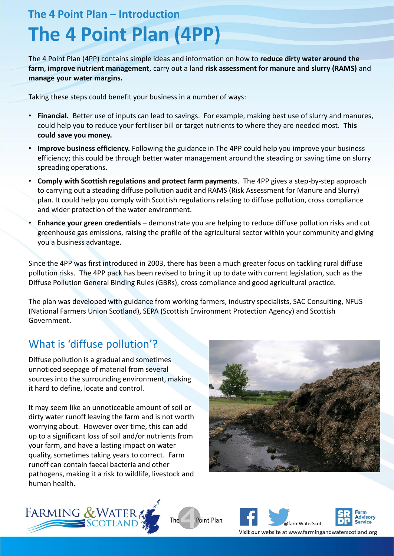# **The 4 Point Plan – Introduction The 4 Point Plan (4PP)**

The 4 Point Plan (4PP) contains simple ideas and information on how to **reduce dirty water around the farm**, **improve nutrient management**, carry out a land **risk assessment for manure and slurry (RAMS)** and **manage your water margins.** 

Taking these steps could benefit your business in a number of ways:

- **Financial.** Better use of inputs can lead to savings. For example, making best use of slurry and manures, could help you to reduce your fertiliser bill or target nutrients to where they are needed most. **This could save you money.**
- **Improve business efficiency.** Following the guidance in The 4PP could help you improve your business efficiency; this could be through better water management around the steading or saving time on slurry spreading operations.
- **Comply with Scottish regulations and protect farm payments**. The 4PP gives a step-by-step approach to carrying out a steading diffuse pollution audit and RAMS (Risk Assessment for Manure and Slurry) plan. It could help you comply with Scottish regulations relating to diffuse pollution, cross compliance and wider protection of the water environment.
- **Enhance your green credentials** demonstrate you are helping to reduce diffuse pollution risks and cut greenhouse gas emissions, raising the profile of the agricultural sector within your community and giving you a business advantage.

Since the 4PP was first introduced in 2003, there has been a much greater focus on tackling rural diffuse pollution risks. The 4PP pack has been revised to bring it up to date with current legislation, such as the Diffuse Pollution General Binding Rules (GBRs), cross compliance and good agricultural practice.

The plan was developed with guidance from working farmers, industry specialists, SAC Consulting, NFUS (National Farmers Union Scotland), SEPA (Scottish Environment Protection Agency) and Scottish Government.

## What is 'diffuse pollution'?

Diffuse pollution is a gradual and sometimes unnoticed seepage of material from several sources into the surrounding environment, making it hard to define, locate and control.

It may seem like an unnoticeable amount of soil or dirty water runoff leaving the farm and is not worth worrying about. However over time, this can add up to a significant loss of soil and/or nutrients from your farm, and have a lasting impact on water quality, sometimes taking years to correct. Farm runoff can contain faecal bacteria and other pathogens, making it a risk to wildlife, livestock and human health.









Visit our website at www.farmingandwaterscotland.org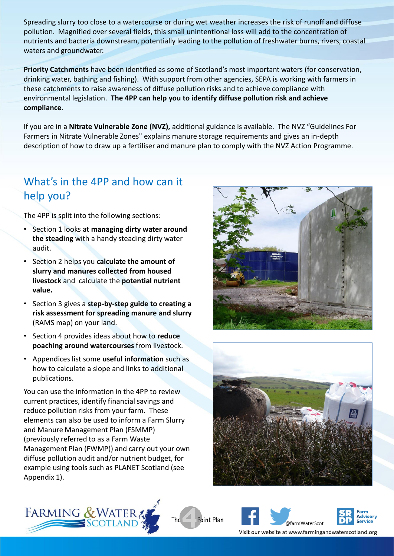Spreading slurry too close to a watercourse or during wet weather increases the risk of runoff and diffuse pollution. Magnified over several fields, this small unintentional loss will add to the concentration of nutrients and bacteria downstream, potentially leading to the pollution of freshwater burns, rivers, coastal waters and groundwater.

**Priority Catchments** have been identified as some of Scotland's most important waters (for conservation, drinking water, bathing and fishing). With support from other agencies, SEPA is working with farmers in these catchments to raise awareness of diffuse pollution risks and to achieve compliance with environmental legislation. **The 4PP can help you to identify diffuse pollution risk and achieve compliance**.

If you are in a **Nitrate Vulnerable Zone (NVZ),** additional guidance is available. The NVZ "Guidelines For Farmers in Nitrate Vulnerable Zones" explains manure storage requirements and gives an in-depth description of how to draw up a fertiliser and manure plan to comply with the NVZ Action Programme.

Point Plan

The

## What's in the 4PP and how can it help you?

The 4PP is split into the following sections:

- Section 1 looks at **managing dirty water around the steading** with a handy steading dirty water audit.
- Section 2 helps you **calculate the amount of slurry and manures collected from housed livestock** and calculate the **potential nutrient value.**
- Section 3 gives a **step-by-step guide to creating a risk assessment for spreading manure and slurry**  (RAMS map) on your land.
- Section 4 provides ideas about how to **reduce poaching around watercourses** from livestock.
- Appendices list some **useful information** such as how to calculate a slope and links to additional publications.

You can use the information in the 4PP to review current practices, identify financial savings and reduce pollution risks from your farm. These elements can also be used to inform a Farm Slurry and Manure Management Plan (FSMMP) (previously referred to as a Farm Waste Management Plan (FWMP)) and carry out your own diffuse pollution audit and/or nutrient budget, for example using tools such as PLANET Scotland (see Appendix 1).









Visit our website at www.farmingandwaterscotland.org